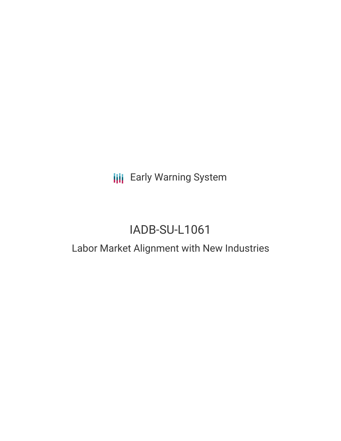**III** Early Warning System

# IADB-SU-L1061

## Labor Market Alignment with New Industries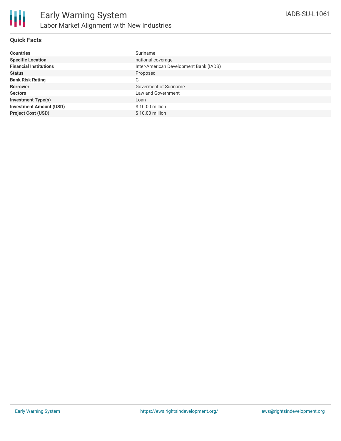### **Quick Facts**

| <b>Countries</b>               | Suriname                               |
|--------------------------------|----------------------------------------|
| <b>Specific Location</b>       | national coverage                      |
| <b>Financial Institutions</b>  | Inter-American Development Bank (IADB) |
| <b>Status</b>                  | Proposed                               |
| <b>Bank Risk Rating</b>        | C                                      |
| <b>Borrower</b>                | Goverment of Suriname                  |
| <b>Sectors</b>                 | Law and Government                     |
| <b>Investment Type(s)</b>      | Loan                                   |
| <b>Investment Amount (USD)</b> | \$10.00 million                        |
| <b>Project Cost (USD)</b>      | \$10.00 million                        |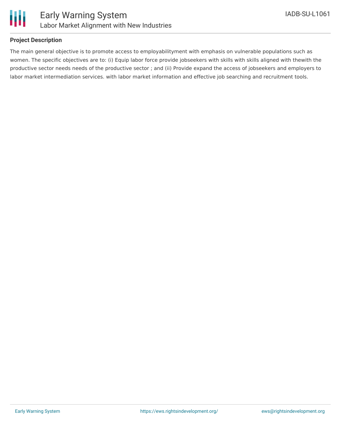

### **Project Description**

The main general objective is to promote access to employabilityment with emphasis on vulnerable populations such as women. The specific objectives are to: (i) Equip labor force provide jobseekers with skills with skills aligned with thewith the productive sector needs needs of the productive sector ; and (ii) Provide expand the access of jobseekers and employers to labor market intermediation services. with labor market information and effective job searching and recruitment tools.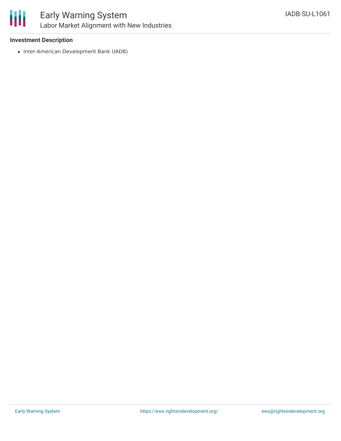

### Early Warning System Labor Market Alignment with New Industries

### **Investment Description**

• Inter-American Development Bank (IADB)